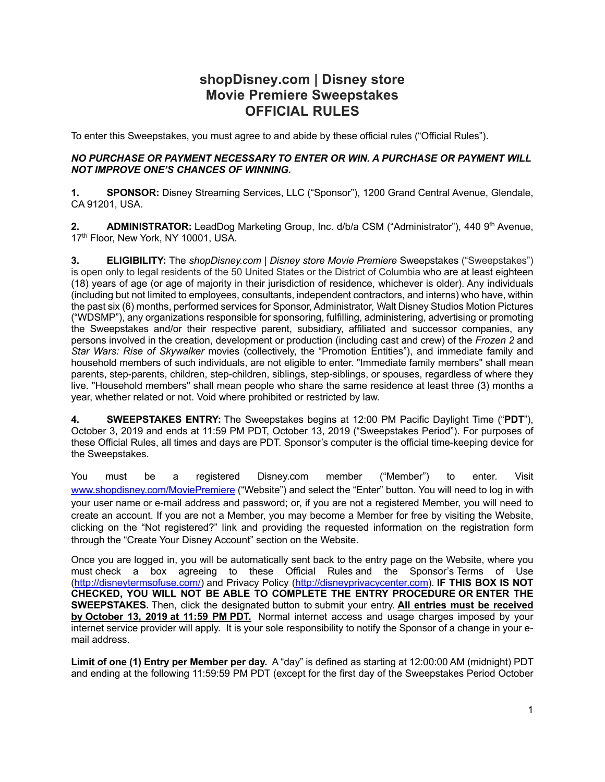# **shopDisney.com | Disney store Movie Premiere Sweepstakes OFFICIAL RULES**

To enter this Sweepstakes, you must agree to and abide by these official rules ("Official Rules").

#### *NO PURCHASE OR PAYMENT NECESSARY TO ENTER OR WIN. A PURCHASE OR PAYMENT WILL NOT IMPROVE ONE'S CHANCES OF WINNING.*

**1. SPONSOR:** Disney Streaming Services, LLC ("Sponsor"), 1200 Grand Central Avenue, Glendale, CA 91201, USA.

**2. ADMINISTRATOR:** LeadDog Marketing Group, Inc. d/b/a CSM ("Administrator"), 440 9<sup>th</sup> Avenue, 17<sup>th</sup> Floor, New York, NY 10001, USA.

**3. ELIGIBILITY:** The *shopDisney.com | Disney store Movie Premiere* Sweepstakes ("Sweepstakes") is open only to legal residents of the 50 United States or the District of Columbia who are at least eighteen (18) years of age (or age of majority in their jurisdiction of residence, whichever is older). Any individuals (including but not limited to employees, consultants, independent contractors, and interns) who have, within the past six (6) months, performed services for Sponsor, Administrator, Walt Disney Studios Motion Pictures ("WDSMP"), any organizations responsible for sponsoring, fulfilling, administering, advertising or promoting the Sweepstakes and/or their respective parent, subsidiary, affiliated and successor companies, any persons involved in the creation, development or production (including cast and crew) of the *Frozen 2* and *Star Wars: Rise of Skywalker* movies (collectively, the "Promotion Entities"), and immediate family and household members of such individuals, are not eligible to enter. "Immediate family members" shall mean parents, step-parents, children, step-children, siblings, step-siblings, or spouses, regardless of where they live. "Household members" shall mean people who share the same residence at least three (3) months a year, whether related or not. Void where prohibited or restricted by law.

**4. SWEEPSTAKES ENTRY:** The Sweepstakes begins at 12:00 PM Pacific Daylight Time ("**PDT**"), October 3, 2019 and ends at 11:59 PM PDT, October 13, 2019 ("Sweepstakes Period"). For purposes of these Official Rules, all times and days are PDT. Sponsor's computer is the official time-keeping device for the Sweepstakes.

You must be a registered Disney.com member ("Member") to enter. Visit www.shopdisney.com/MoviePremiere ("Website") and select the "Enter" button. You will need to log in with your user name or e-mail address and password; or, if you are not a registered Member, you will need to create an account. If you are not a Member, you may become a Member for free by visiting the Website, clicking on the "Not registered?" link and providing the requested information on the registration form through the "Create Your Disney Account" section on the Website.

Once you are logged in, you will be automatically sent back to the entry page on the Website, where you must check a box agreeing to these Official Rules and the Sponsor's Terms of Use (http://disneytermsofuse.com/) and Privacy Policy (http://disneyprivacycenter.com). **IF THIS BOX IS NOT CHECKED, YOU WILL NOT BE ABLE TO COMPLETE THE ENTRY PROCEDURE OR ENTER THE SWEEPSTAKES.** Then, click the designated button to submit your entry. **All entries must be received by October 13, 2019 at 11:59 PM PDT.** Normal internet access and usage charges imposed by your internet service provider will apply. It is your sole responsibility to notify the Sponsor of a change in your email address.

**Limit of one (1) Entry per Member per day.** A "day" is defined as starting at 12:00:00 AM (midnight) PDT and ending at the following 11:59:59 PM PDT (except for the first day of the Sweepstakes Period October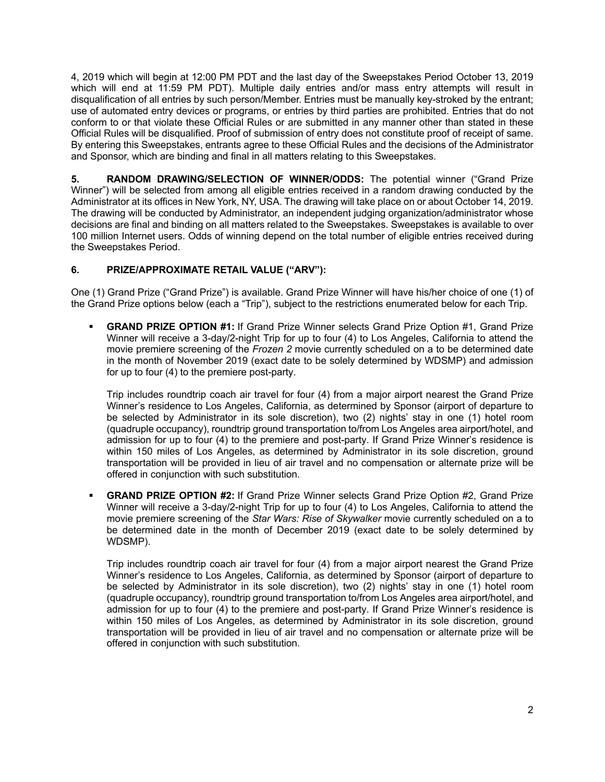4, 2019 which will begin at 12:00 PM PDT and the last day of the Sweepstakes Period October 13, 2019 which will end at 11:59 PM PDT). Multiple daily entries and/or mass entry attempts will result in disqualification of all entries by such person/Member. Entries must be manually key-stroked by the entrant; use of automated entry devices or programs, or entries by third parties are prohibited. Entries that do not conform to or that violate these Official Rules or are submitted in any manner other than stated in these Official Rules will be disqualified. Proof of submission of entry does not constitute proof of receipt of same. By entering this Sweepstakes, entrants agree to these Official Rules and the decisions of the Administrator and Sponsor, which are binding and final in all matters relating to this Sweepstakes.

**5. RANDOM DRAWING/SELECTION OF WINNER/ODDS:** The potential winner ("Grand Prize Winner") will be selected from among all eligible entries received in a random drawing conducted by the Administrator at its offices in New York, NY, USA. The drawing will take place on or about October 14, 2019. The drawing will be conducted by Administrator, an independent judging organization/administrator whose decisions are final and binding on all matters related to the Sweepstakes. Sweepstakes is available to over 100 million Internet users. Odds of winning depend on the total number of eligible entries received during the Sweepstakes Period.

## **6. PRIZE/APPROXIMATE RETAIL VALUE ("ARV"):**

One (1) Grand Prize ("Grand Prize") is available. Grand Prize Winner will have his/her choice of one (1) of the Grand Prize options below (each a "Trip"), subject to the restrictions enumerated below for each Trip.

§ **GRAND PRIZE OPTION #1:** If Grand Prize Winner selects Grand Prize Option #1, Grand Prize Winner will receive a 3-day/2-night Trip for up to four (4) to Los Angeles, California to attend the movie premiere screening of the *Frozen 2* movie currently scheduled on a to be determined date in the month of November 2019 (exact date to be solely determined by WDSMP) and admission for up to four (4) to the premiere post-party.

Trip includes roundtrip coach air travel for four (4) from a major airport nearest the Grand Prize Winner's residence to Los Angeles, California, as determined by Sponsor (airport of departure to be selected by Administrator in its sole discretion), two (2) nights' stay in one (1) hotel room (quadruple occupancy), roundtrip ground transportation to/from Los Angeles area airport/hotel, and admission for up to four (4) to the premiere and post-party. If Grand Prize Winner's residence is within 150 miles of Los Angeles, as determined by Administrator in its sole discretion, ground transportation will be provided in lieu of air travel and no compensation or alternate prize will be offered in conjunction with such substitution.

§ **GRAND PRIZE OPTION #2:** If Grand Prize Winner selects Grand Prize Option #2, Grand Prize Winner will receive a 3-day/2-night Trip for up to four (4) to Los Angeles, California to attend the movie premiere screening of the *Star Wars: Rise of Skywalker* movie currently scheduled on a to be determined date in the month of December 2019 (exact date to be solely determined by WDSMP).

Trip includes roundtrip coach air travel for four (4) from a major airport nearest the Grand Prize Winner's residence to Los Angeles, California, as determined by Sponsor (airport of departure to be selected by Administrator in its sole discretion), two (2) nights' stay in one (1) hotel room (quadruple occupancy), roundtrip ground transportation to/from Los Angeles area airport/hotel, and admission for up to four (4) to the premiere and post-party. If Grand Prize Winner's residence is within 150 miles of Los Angeles, as determined by Administrator in its sole discretion, ground transportation will be provided in lieu of air travel and no compensation or alternate prize will be offered in conjunction with such substitution.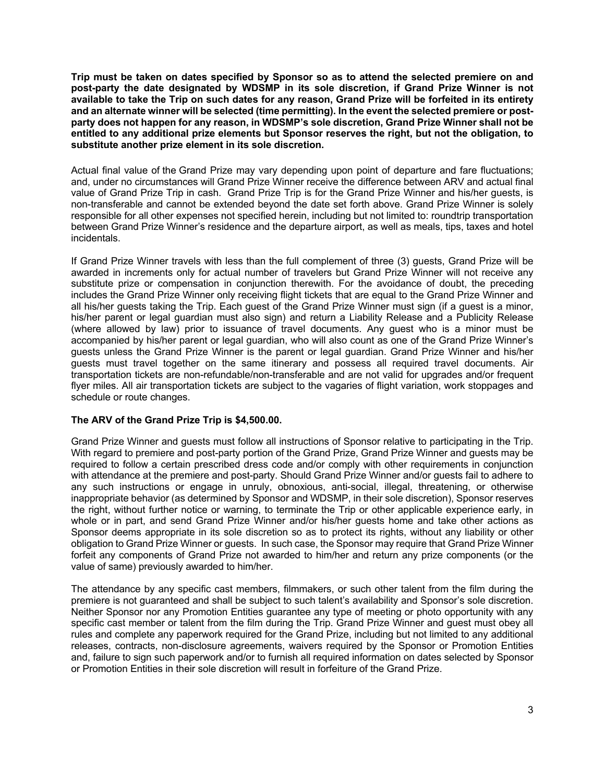**Trip must be taken on dates specified by Sponsor so as to attend the selected premiere on and post-party the date designated by WDSMP in its sole discretion, if Grand Prize Winner is not available to take the Trip on such dates for any reason, Grand Prize will be forfeited in its entirety and an alternate winner will be selected (time permitting). In the event the selected premiere or postparty does not happen for any reason, in WDSMP's sole discretion, Grand Prize Winner shall not be entitled to any additional prize elements but Sponsor reserves the right, but not the obligation, to substitute another prize element in its sole discretion.** 

Actual final value of the Grand Prize may vary depending upon point of departure and fare fluctuations; and, under no circumstances will Grand Prize Winner receive the difference between ARV and actual final value of Grand Prize Trip in cash. Grand Prize Trip is for the Grand Prize Winner and his/her guests, is non-transferable and cannot be extended beyond the date set forth above. Grand Prize Winner is solely responsible for all other expenses not specified herein, including but not limited to: roundtrip transportation between Grand Prize Winner's residence and the departure airport, as well as meals, tips, taxes and hotel incidentals.

If Grand Prize Winner travels with less than the full complement of three (3) guests, Grand Prize will be awarded in increments only for actual number of travelers but Grand Prize Winner will not receive any substitute prize or compensation in conjunction therewith. For the avoidance of doubt, the preceding includes the Grand Prize Winner only receiving flight tickets that are equal to the Grand Prize Winner and all his/her guests taking the Trip. Each guest of the Grand Prize Winner must sign (if a guest is a minor, his/her parent or legal guardian must also sign) and return a Liability Release and a Publicity Release (where allowed by law) prior to issuance of travel documents. Any guest who is a minor must be accompanied by his/her parent or legal guardian, who will also count as one of the Grand Prize Winner's guests unless the Grand Prize Winner is the parent or legal guardian. Grand Prize Winner and his/her guests must travel together on the same itinerary and possess all required travel documents. Air transportation tickets are non-refundable/non-transferable and are not valid for upgrades and/or frequent flyer miles. All air transportation tickets are subject to the vagaries of flight variation, work stoppages and schedule or route changes.

### **The ARV of the Grand Prize Trip is \$4,500.00.**

Grand Prize Winner and guests must follow all instructions of Sponsor relative to participating in the Trip. With regard to premiere and post-party portion of the Grand Prize, Grand Prize Winner and guests may be required to follow a certain prescribed dress code and/or comply with other requirements in conjunction with attendance at the premiere and post-party. Should Grand Prize Winner and/or guests fail to adhere to any such instructions or engage in unruly, obnoxious, anti-social, illegal, threatening, or otherwise inappropriate behavior (as determined by Sponsor and WDSMP, in their sole discretion), Sponsor reserves the right, without further notice or warning, to terminate the Trip or other applicable experience early, in whole or in part, and send Grand Prize Winner and/or his/her guests home and take other actions as Sponsor deems appropriate in its sole discretion so as to protect its rights, without any liability or other obligation to Grand Prize Winner or guests. In such case, the Sponsor may require that Grand Prize Winner forfeit any components of Grand Prize not awarded to him/her and return any prize components (or the value of same) previously awarded to him/her.

The attendance by any specific cast members, filmmakers, or such other talent from the film during the premiere is not guaranteed and shall be subject to such talent's availability and Sponsor's sole discretion. Neither Sponsor nor any Promotion Entities guarantee any type of meeting or photo opportunity with any specific cast member or talent from the film during the Trip. Grand Prize Winner and guest must obey all rules and complete any paperwork required for the Grand Prize, including but not limited to any additional releases, contracts, non-disclosure agreements, waivers required by the Sponsor or Promotion Entities and, failure to sign such paperwork and/or to furnish all required information on dates selected by Sponsor or Promotion Entities in their sole discretion will result in forfeiture of the Grand Prize.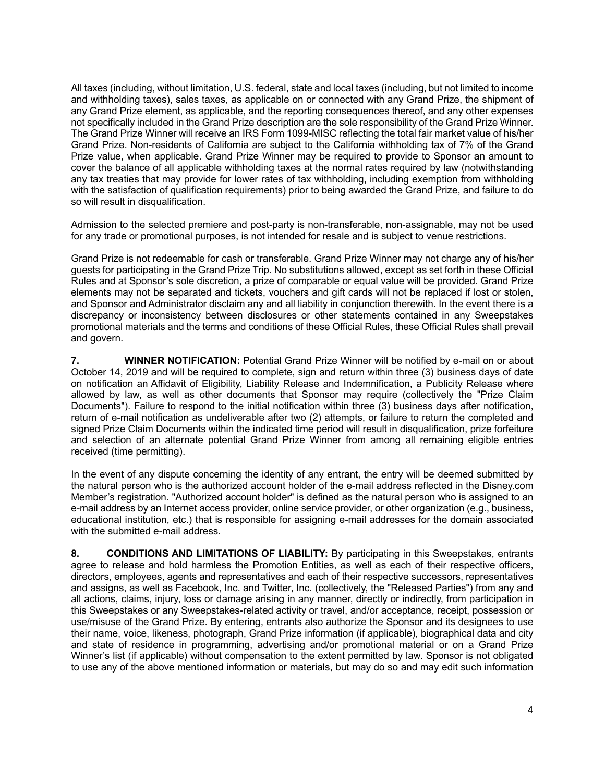All taxes (including, without limitation, U.S. federal, state and local taxes (including, but not limited to income and withholding taxes), sales taxes, as applicable on or connected with any Grand Prize, the shipment of any Grand Prize element, as applicable, and the reporting consequences thereof, and any other expenses not specifically included in the Grand Prize description are the sole responsibility of the Grand Prize Winner. The Grand Prize Winner will receive an IRS Form 1099-MISC reflecting the total fair market value of his/her Grand Prize. Non-residents of California are subject to the California withholding tax of 7% of the Grand Prize value, when applicable. Grand Prize Winner may be required to provide to Sponsor an amount to cover the balance of all applicable withholding taxes at the normal rates required by law (notwithstanding any tax treaties that may provide for lower rates of tax withholding, including exemption from withholding with the satisfaction of qualification requirements) prior to being awarded the Grand Prize, and failure to do so will result in disqualification.

Admission to the selected premiere and post-party is non-transferable, non-assignable, may not be used for any trade or promotional purposes, is not intended for resale and is subject to venue restrictions.

Grand Prize is not redeemable for cash or transferable. Grand Prize Winner may not charge any of his/her guests for participating in the Grand Prize Trip. No substitutions allowed, except as set forth in these Official Rules and at Sponsor's sole discretion, a prize of comparable or equal value will be provided. Grand Prize elements may not be separated and tickets, vouchers and gift cards will not be replaced if lost or stolen, and Sponsor and Administrator disclaim any and all liability in conjunction therewith. In the event there is a discrepancy or inconsistency between disclosures or other statements contained in any Sweepstakes promotional materials and the terms and conditions of these Official Rules, these Official Rules shall prevail and govern.

**7. WINNER NOTIFICATION:** Potential Grand Prize Winner will be notified by e-mail on or about October 14, 2019 and will be required to complete, sign and return within three (3) business days of date on notification an Affidavit of Eligibility, Liability Release and Indemnification, a Publicity Release where allowed by law, as well as other documents that Sponsor may require (collectively the "Prize Claim Documents"). Failure to respond to the initial notification within three (3) business days after notification, return of e-mail notification as undeliverable after two (2) attempts, or failure to return the completed and signed Prize Claim Documents within the indicated time period will result in disqualification, prize forfeiture and selection of an alternate potential Grand Prize Winner from among all remaining eligible entries received (time permitting).

In the event of any dispute concerning the identity of any entrant, the entry will be deemed submitted by the natural person who is the authorized account holder of the e-mail address reflected in the Disney.com Member's registration. "Authorized account holder" is defined as the natural person who is assigned to an e-mail address by an Internet access provider, online service provider, or other organization (e.g., business, educational institution, etc.) that is responsible for assigning e-mail addresses for the domain associated with the submitted e-mail address.

**8. CONDITIONS AND LIMITATIONS OF LIABILITY:** By participating in this Sweepstakes, entrants agree to release and hold harmless the Promotion Entities, as well as each of their respective officers, directors, employees, agents and representatives and each of their respective successors, representatives and assigns, as well as Facebook, Inc. and Twitter, Inc. (collectively, the "Released Parties") from any and all actions, claims, injury, loss or damage arising in any manner, directly or indirectly, from participation in this Sweepstakes or any Sweepstakes-related activity or travel, and/or acceptance, receipt, possession or use/misuse of the Grand Prize. By entering, entrants also authorize the Sponsor and its designees to use their name, voice, likeness, photograph, Grand Prize information (if applicable), biographical data and city and state of residence in programming, advertising and/or promotional material or on a Grand Prize Winner's list (if applicable) without compensation to the extent permitted by law. Sponsor is not obligated to use any of the above mentioned information or materials, but may do so and may edit such information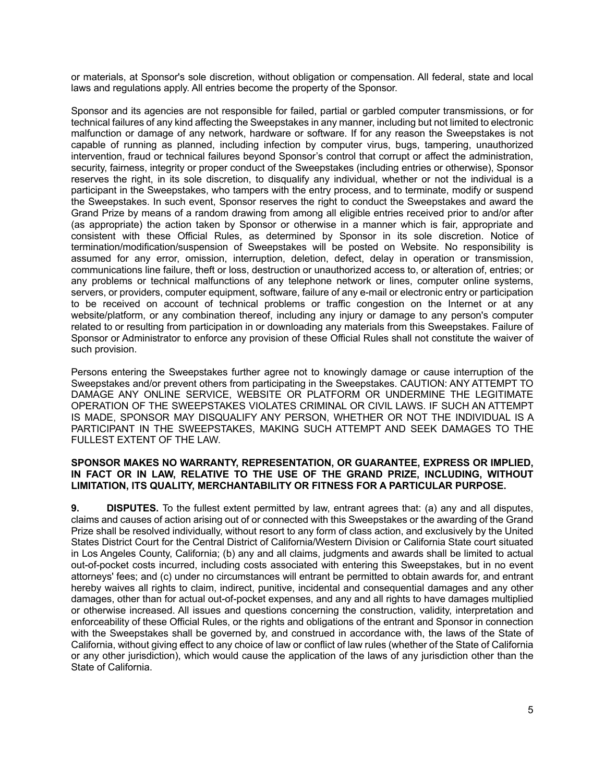or materials, at Sponsor's sole discretion, without obligation or compensation. All federal, state and local laws and regulations apply. All entries become the property of the Sponsor.

Sponsor and its agencies are not responsible for failed, partial or garbled computer transmissions, or for technical failures of any kind affecting the Sweepstakes in any manner, including but not limited to electronic malfunction or damage of any network, hardware or software. If for any reason the Sweepstakes is not capable of running as planned, including infection by computer virus, bugs, tampering, unauthorized intervention, fraud or technical failures beyond Sponsor's control that corrupt or affect the administration, security, fairness, integrity or proper conduct of the Sweepstakes (including entries or otherwise), Sponsor reserves the right, in its sole discretion, to disqualify any individual, whether or not the individual is a participant in the Sweepstakes, who tampers with the entry process, and to terminate, modify or suspend the Sweepstakes. In such event, Sponsor reserves the right to conduct the Sweepstakes and award the Grand Prize by means of a random drawing from among all eligible entries received prior to and/or after (as appropriate) the action taken by Sponsor or otherwise in a manner which is fair, appropriate and consistent with these Official Rules, as determined by Sponsor in its sole discretion. Notice of termination/modification/suspension of Sweepstakes will be posted on Website. No responsibility is assumed for any error, omission, interruption, deletion, defect, delay in operation or transmission, communications line failure, theft or loss, destruction or unauthorized access to, or alteration of, entries; or any problems or technical malfunctions of any telephone network or lines, computer online systems, servers, or providers, computer equipment, software, failure of any e-mail or electronic entry or participation to be received on account of technical problems or traffic congestion on the Internet or at any website/platform, or any combination thereof, including any injury or damage to any person's computer related to or resulting from participation in or downloading any materials from this Sweepstakes. Failure of Sponsor or Administrator to enforce any provision of these Official Rules shall not constitute the waiver of such provision.

Persons entering the Sweepstakes further agree not to knowingly damage or cause interruption of the Sweepstakes and/or prevent others from participating in the Sweepstakes. CAUTION: ANY ATTEMPT TO DAMAGE ANY ONLINE SERVICE, WEBSITE OR PLATFORM OR UNDERMINE THE LEGITIMATE OPERATION OF THE SWEEPSTAKES VIOLATES CRIMINAL OR CIVIL LAWS. IF SUCH AN ATTEMPT IS MADE, SPONSOR MAY DISQUALIFY ANY PERSON, WHETHER OR NOT THE INDIVIDUAL IS A PARTICIPANT IN THE SWEEPSTAKES, MAKING SUCH ATTEMPT AND SEEK DAMAGES TO THE FULLEST EXTENT OF THE LAW.

#### **SPONSOR MAKES NO WARRANTY, REPRESENTATION, OR GUARANTEE, EXPRESS OR IMPLIED, IN FACT OR IN LAW, RELATIVE TO THE USE OF THE GRAND PRIZE, INCLUDING, WITHOUT LIMITATION, ITS QUALITY, MERCHANTABILITY OR FITNESS FOR A PARTICULAR PURPOSE.**

**9. DISPUTES.** To the fullest extent permitted by law, entrant agrees that: (a) any and all disputes, claims and causes of action arising out of or connected with this Sweepstakes or the awarding of the Grand Prize shall be resolved individually, without resort to any form of class action, and exclusively by the United States District Court for the Central District of California/Western Division or California State court situated in Los Angeles County, California; (b) any and all claims, judgments and awards shall be limited to actual out-of-pocket costs incurred, including costs associated with entering this Sweepstakes, but in no event attorneys' fees; and (c) under no circumstances will entrant be permitted to obtain awards for, and entrant hereby waives all rights to claim, indirect, punitive, incidental and consequential damages and any other damages, other than for actual out-of-pocket expenses, and any and all rights to have damages multiplied or otherwise increased. All issues and questions concerning the construction, validity, interpretation and enforceability of these Official Rules, or the rights and obligations of the entrant and Sponsor in connection with the Sweepstakes shall be governed by, and construed in accordance with, the laws of the State of California, without giving effect to any choice of law or conflict of law rules (whether of the State of California or any other jurisdiction), which would cause the application of the laws of any jurisdiction other than the State of California.